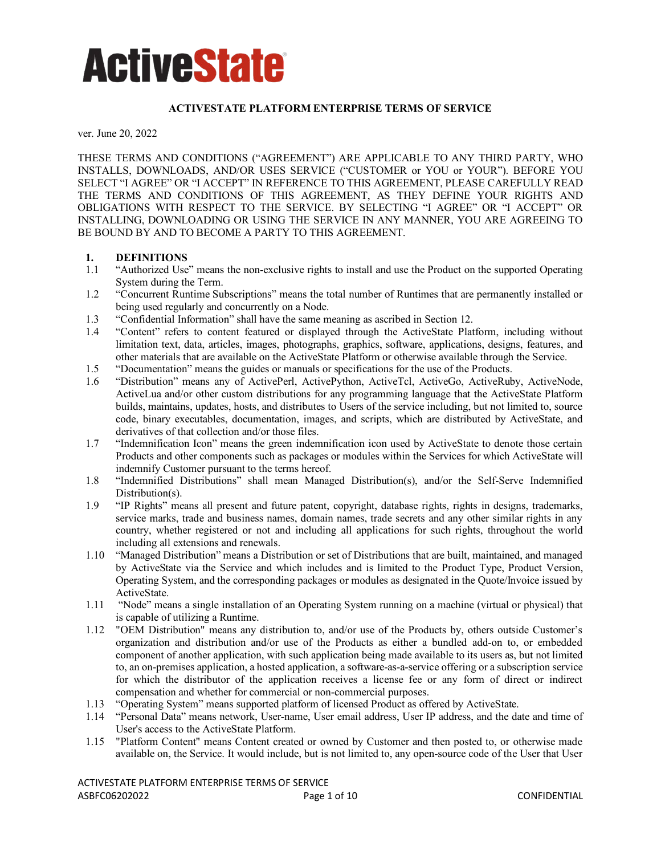#### **ACTIVESTATE PLATFORM ENTERPRISE TERMS OF SERVICE**

ver. June 20, 2022

THESE TERMS AND CONDITIONS ("AGREEMENT") ARE APPLICABLE TO ANY THIRD PARTY, WHO INSTALLS, DOWNLOADS, AND/OR USES SERVICE ("CUSTOMER or YOU or YOUR"). BEFORE YOU SELECT "I AGREE" OR "I ACCEPT" IN REFERENCE TO THIS AGREEMENT, PLEASE CAREFULLY READ THE TERMS AND CONDITIONS OF THIS AGREEMENT, AS THEY DEFINE YOUR RIGHTS AND OBLIGATIONS WITH RESPECT TO THE SERVICE. BY SELECTING "I AGREE" OR "I ACCEPT" OR INSTALLING, DOWNLOADING OR USING THE SERVICE IN ANY MANNER, YOU ARE AGREEING TO BE BOUND BY AND TO BECOME A PARTY TO THIS AGREEMENT.

### **1. DEFINITIONS**

- 1.1 "Authorized Use" means the non-exclusive rights to install and use the Product on the supported Operating System during the Term.
- 1.2 "Concurrent Runtime Subscriptions" means the total number of Runtimes that are permanently installed or being used regularly and concurrently on a Node.
- 1.3 "Confidential Information" shall have the same meaning as ascribed in Section 12.
- 1.4 "Content" refers to content featured or displayed through the ActiveState Platform, including without limitation text, data, articles, images, photographs, graphics, software, applications, designs, features, and other materials that are available on the ActiveState Platform or otherwise available through the Service.
- 1.5 "Documentation" means the guides or manuals or specifications for the use of the Products.
- 1.6 "Distribution" means any of ActivePerl, ActivePython, ActiveTcl, ActiveGo, ActiveRuby, ActiveNode, ActiveLua and/or other custom distributions for any programming language that the ActiveState Platform builds, maintains, updates, hosts, and distributes to Users of the service including, but not limited to, source code, binary executables, documentation, images, and scripts, which are distributed by ActiveState, and derivatives of that collection and/or those files.
- 1.7 "Indemnification Icon" means the green indemnification icon used by ActiveState to denote those certain Products and other components such as packages or modules within the Services for which ActiveState will indemnify Customer pursuant to the terms hereof.
- 1.8 "Indemnified Distributions" shall mean Managed Distribution(s), and/or the Self-Serve Indemnified Distribution(s).
- 1.9 "IP Rights" means all present and future patent, copyright, database rights, rights in designs, trademarks, service marks, trade and business names, domain names, trade secrets and any other similar rights in any country, whether registered or not and including all applications for such rights, throughout the world including all extensions and renewals.
- 1.10 "Managed Distribution" means a Distribution or set of Distributions that are built, maintained, and managed by ActiveState via the Service and which includes and is limited to the Product Type, Product Version, Operating System, and the corresponding packages or modules as designated in the Quote/Invoice issued by ActiveState.
- 1.11 "Node" means a single installation of an Operating System running on a machine (virtual or physical) that is capable of utilizing a Runtime.
- 1.12 "OEM Distribution" means any distribution to, and/or use of the Products by, others outside Customer's organization and distribution and/or use of the Products as either a bundled add-on to, or embedded component of another application, with such application being made available to its users as, but not limited to, an on-premises application, a hosted application, a software-as-a-service offering or a subscription service for which the distributor of the application receives a license fee or any form of direct or indirect compensation and whether for commercial or non-commercial purposes.
- 1.13 "Operating System" means supported platform of licensed Product as offered by ActiveState.
- 1.14 "Personal Data" means network, User-name, User email address, User IP address, and the date and time of User's access to the ActiveState Platform.
- 1.15 "Platform Content" means Content created or owned by Customer and then posted to, or otherwise made available on, the Service. It would include, but is not limited to, any open-source code of the User that User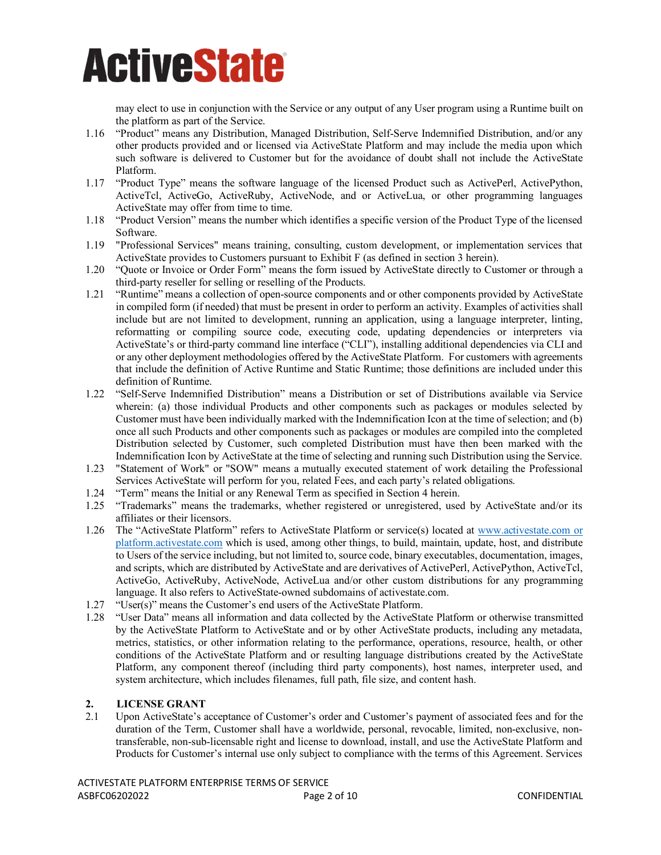may elect to use in conjunction with the Service or any output of any User program using a Runtime built on the platform as part of the Service.

- 1.16 "Product" means any Distribution, Managed Distribution, Self-Serve Indemnified Distribution, and/or any other products provided and or licensed via ActiveState Platform and may include the media upon which such software is delivered to Customer but for the avoidance of doubt shall not include the ActiveState Platform.
- 1.17 "Product Type" means the software language of the licensed Product such as ActivePerl, ActivePython, ActiveTcl, ActiveGo, ActiveRuby, ActiveNode, and or ActiveLua, or other programming languages ActiveState may offer from time to time.
- 1.18 "Product Version" means the number which identifies a specific version of the Product Type of the licensed Software.
- 1.19 "Professional Services" means training, consulting, custom development, or implementation services that ActiveState provides to Customers pursuant to Exhibit F (as defined in section 3 herein).
- 1.20 "Quote or Invoice or Order Form" means the form issued by ActiveState directly to Customer or through a third-party reseller for selling or reselling of the Products.
- 1.21 "Runtime" means a collection of open-source components and or other components provided by ActiveState in compiled form (if needed) that must be present in order to perform an activity. Examples of activities shall include but are not limited to development, running an application, using a language interpreter, linting, reformatting or compiling source code, executing code, updating dependencies or interpreters via ActiveState's or third-party command line interface ("CLI"), installing additional dependencies via CLI and or any other deployment methodologies offered by the ActiveState Platform. For customers with agreements that include the definition of Active Runtime and Static Runtime; those definitions are included under this definition of Runtime.
- 1.22 "Self-Serve Indemnified Distribution" means a Distribution or set of Distributions available via Service wherein: (a) those individual Products and other components such as packages or modules selected by Customer must have been individually marked with the Indemnification Icon at the time of selection; and (b) once all such Products and other components such as packages or modules are compiled into the completed Distribution selected by Customer, such completed Distribution must have then been marked with the Indemnification Icon by ActiveState at the time of selecting and running such Distribution using the Service.
- 1.23 "Statement of Work" or "SOW" means a mutually executed statement of work detailing the Professional Services ActiveState will perform for you, related Fees, and each party's related obligations.
- 1.24 "Term" means the Initial or any Renewal Term as specified in Section 4 herein.
- 1.25 "Trademarks" means the trademarks, whether registered or unregistered, used by ActiveState and/or its affiliates or their licensors.
- 1.26 The "ActiveState Platform" refers to ActiveState Platform or service(s) located at [www.activestate.com](http://www.activestate.com/) or platform.activestate.com which is used, among other things, to build, maintain, update, host, and distribute to Users of the service including, but not limited to, source code, binary executables, documentation, images, and scripts, which are distributed by ActiveState and are derivatives of ActivePerl, ActivePython, ActiveTcl, ActiveGo, ActiveRuby, ActiveNode, ActiveLua and/or other custom distributions for any programming language. It also refers to ActiveState-owned subdomains of activestate.com.
- 1.27 "User(s)" means the Customer's end users of the ActiveState Platform.
- 1.28 "User Data" means all information and data collected by the ActiveState Platform or otherwise transmitted by the ActiveState Platform to ActiveState and or by other ActiveState products, including any metadata, metrics, statistics, or other information relating to the performance, operations, resource, health, or other conditions of the ActiveState Platform and or resulting language distributions created by the ActiveState Platform, any component thereof (including third party components), host names, interpreter used, and system architecture, which includes filenames, full path, file size, and content hash.

### **2. LICENSE GRANT**

2.1 Upon ActiveState's acceptance of Customer's order and Customer's payment of associated fees and for the duration of the Term, Customer shall have a worldwide, personal, revocable, limited, non-exclusive, nontransferable, non-sub-licensable right and license to download, install, and use the ActiveState Platform and Products for Customer's internal use only subject to compliance with the terms of this Agreement. Services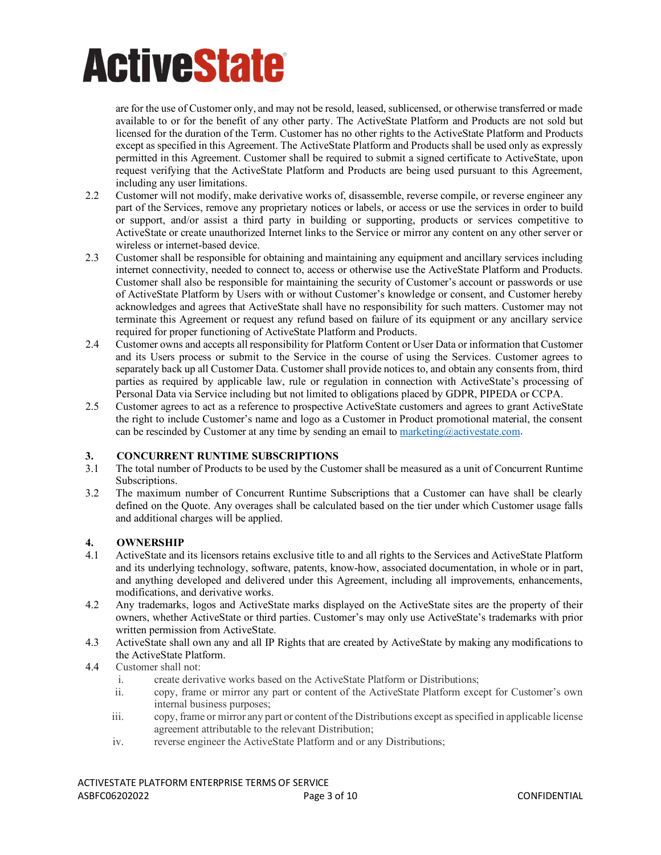are for the use of Customer only, and may not be resold, leased, sublicensed, or otherwise transferred or made available to or for the benefit of any other party. The ActiveState Platform and Products are not sold but licensed for the duration of the Term. Customer has no other rights to the ActiveState Platform and Products except as specified in this Agreement. The ActiveState Platform and Products shall be used only as expressly permitted in this Agreement. Customer shall be required to submit a signed certificate to ActiveState, upon request verifying that the ActiveState Platform and Products are being used pursuant to this Agreement, including any user limitations.

- 2.2 Customer will not modify, make derivative works of, disassemble, reverse compile, or reverse engineer any part of the Services, remove any proprietary notices or labels, or access or use the services in order to build or support, and/or assist a third party in building or supporting, products or services competitive to ActiveState or create unauthorized Internet links to the Service or mirror any content on any other server or wireless or internet-based device.
- 2.3 Customer shall be responsible for obtaining and maintaining any equipment and ancillary services including internet connectivity, needed to connect to, access or otherwise use the ActiveState Platform and Products. Customer shall also be responsible for maintaining the security of Customer's account or passwords or use of ActiveState Platform by Users with or without Customer's knowledge or consent, and Customer hereby acknowledges and agrees that ActiveState shall have no responsibility for such matters. Customer may not terminate this Agreement or request any refund based on failure of its equipment or any ancillary service required for proper functioning of ActiveState Platform and Products.
- 2.4 Customer owns and accepts all responsibility for Platform Content or User Data or information that Customer and its Users process or submit to the Service in the course of using the Services. Customer agrees to separately back up all Customer Data. Customer shall provide notices to, and obtain any consents from, third parties as required by applicable law, rule or regulation in connection with ActiveState's processing of Personal Data via Service including but not limited to obligations placed by GDPR, PIPEDA or CCPA.
- 2.5 Customer agrees to act as a reference to prospective ActiveState customers and agrees to grant ActiveState the right to include Customer's name and logo as a Customer in Product promotional material, the consent can be rescinded by Customer at any time by sending an email to marketing $@$ activestate.com.

### **3. CONCURRENT RUNTIME SUBSCRIPTIONS**

- The total number of Products to be used by the Customer shall be measured as a unit of Concurrent Runtime Subscriptions.
- 3.2 The maximum number of Concurrent Runtime Subscriptions that a Customer can have shall be clearly defined on the Quote. Any overages shall be calculated based on the tier under which Customer usage falls and additional charges will be applied.

### **4. OWNERSHIP**

- 4.1 ActiveState and its licensors retains exclusive title to and all rights to the Services and ActiveState Platform and its underlying technology, software, patents, know-how, associated documentation, in whole or in part, and anything developed and delivered under this Agreement, including all improvements, enhancements, modifications, and derivative works.
- 4.2 Any trademarks, logos and ActiveState marks displayed on the ActiveState sites are the property of their owners, whether ActiveState or third parties. Customer's may only use ActiveState's trademarks with prior written permission from ActiveState.
- 4.3 ActiveState shall own any and all IP Rights that are created by ActiveState by making any modifications to the ActiveState Platform.
- 4.4 Customer shall not:
	- i. create derivative works based on the ActiveState Platform or Distributions;
	- ii. copy, frame or mirror any part or content of the ActiveState Platform except for Customer's own internal business purposes;
	- iii. copy, frame or mirror any part or content of the Distributions except as specified in applicable license agreement attributable to the relevant Distribution;
	- iv. reverse engineer the ActiveState Platform and or any Distributions;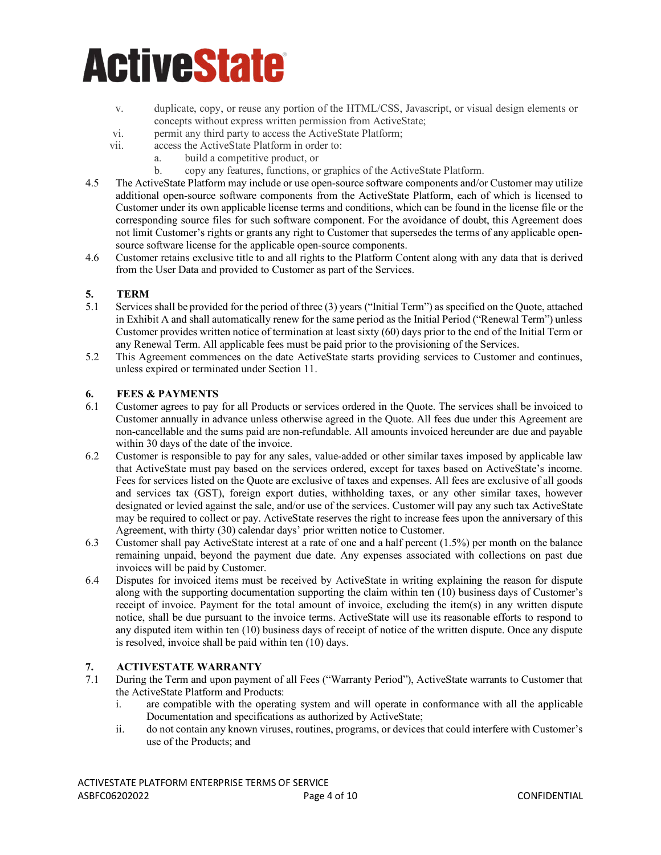- v. duplicate, copy, or reuse any portion of the HTML/CSS, Javascript, or visual design elements or concepts without express written permission from ActiveState;
- vi. permit any third party to access the ActiveState Platform;
- vii. access the ActiveState Platform in order to:
	- a. build a competitive product, or
	- b. copy any features, functions, or graphics of the ActiveState Platform.
- 4.5 The ActiveState Platform may include or use open-source software components and/or Customer may utilize additional open-source software components from the ActiveState Platform, each of which is licensed to Customer under its own applicable license terms and conditions, which can be found in the license file or the corresponding source files for such software component. For the avoidance of doubt, this Agreement does not limit Customer's rights or grants any right to Customer that supersedes the terms of any applicable opensource software license for the applicable open-source components.
- 4.6 Customer retains exclusive title to and all rights to the Platform Content along with any data that is derived from the User Data and provided to Customer as part of the Services.

### **5. TERM**

- 5.1 Services shall be provided for the period of three (3) years ("Initial Term") as specified on the Quote, attached in Exhibit A and shall automatically renew for the same period as the Initial Period ("Renewal Term") unless Customer provides written notice of termination at least sixty (60) days prior to the end of the Initial Term or any Renewal Term. All applicable fees must be paid prior to the provisioning of the Services.
- 5.2 This Agreement commences on the date ActiveState starts providing services to Customer and continues, unless expired or terminated under Section 11.

#### **6. FEES & PAYMENTS**

- 6.1 Customer agrees to pay for all Products or services ordered in the Quote. The services shall be invoiced to Customer annually in advance unless otherwise agreed in the Quote. All fees due under this Agreement are non-cancellable and the sums paid are non-refundable. All amounts invoiced hereunder are due and payable within 30 days of the date of the invoice.
- 6.2 Customer is responsible to pay for any sales, value-added or other similar taxes imposed by applicable law that ActiveState must pay based on the services ordered, except for taxes based on ActiveState's income. Fees for services listed on the Quote are exclusive of taxes and expenses. All fees are exclusive of all goods and services tax (GST), foreign export duties, withholding taxes, or any other similar taxes, however designated or levied against the sale, and/or use of the services. Customer will pay any such tax ActiveState may be required to collect or pay. ActiveState reserves the right to increase fees upon the anniversary of this Agreement, with thirty (30) calendar days' prior written notice to Customer.
- 6.3 Customer shall pay ActiveState interest at a rate of one and a half percent (1.5%) per month on the balance remaining unpaid, beyond the payment due date. Any expenses associated with collections on past due invoices will be paid by Customer.
- 6.4 Disputes for invoiced items must be received by ActiveState in writing explaining the reason for dispute along with the supporting documentation supporting the claim within ten (10) business days of Customer's receipt of invoice. Payment for the total amount of invoice, excluding the item(s) in any written dispute notice, shall be due pursuant to the invoice terms. ActiveState will use its reasonable efforts to respond to any disputed item within ten (10) business days of receipt of notice of the written dispute. Once any dispute is resolved, invoice shall be paid within ten (10) days.

### **7. ACTIVESTATE WARRANTY**

- 7.1 During the Term and upon payment of all Fees ("Warranty Period"), ActiveState warrants to Customer that the ActiveState Platform and Products:
	- i. are compatible with the operating system and will operate in conformance with all the applicable Documentation and specifications as authorized by ActiveState;
	- ii. do not contain any known viruses, routines, programs, or devices that could interfere with Customer's use of the Products; and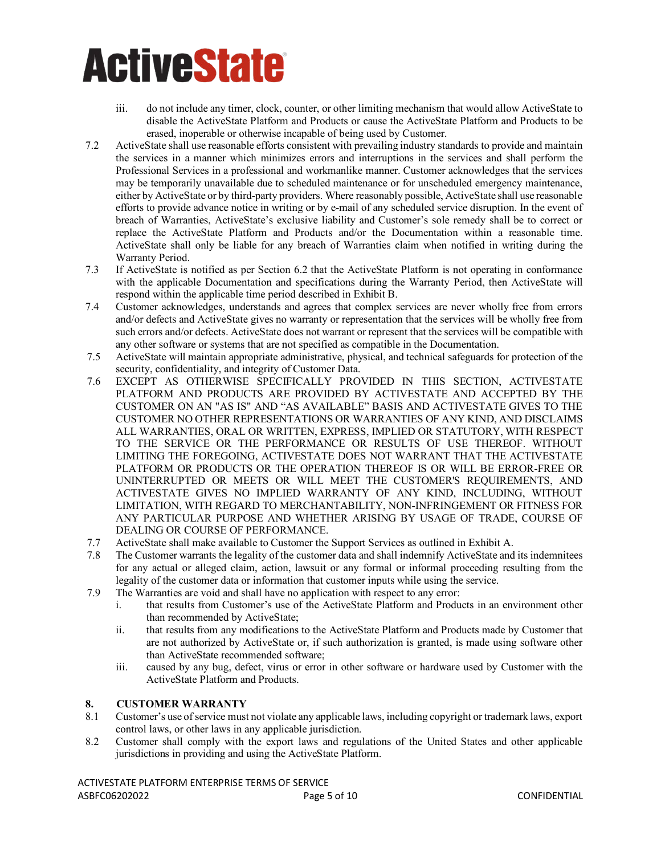- iii. do not include any timer, clock, counter, or other limiting mechanism that would allow ActiveState to disable the ActiveState Platform and Products or cause the ActiveState Platform and Products to be erased, inoperable or otherwise incapable of being used by Customer.
- 7.2 ActiveState shall use reasonable efforts consistent with prevailing industry standards to provide and maintain the services in a manner which minimizes errors and interruptions in the services and shall perform the Professional Services in a professional and workmanlike manner. Customer acknowledges that the services may be temporarily unavailable due to scheduled maintenance or for unscheduled emergency maintenance, either by ActiveState or by third-party providers. Where reasonably possible, ActiveState shall use reasonable efforts to provide advance notice in writing or by e-mail of any scheduled service disruption. In the event of breach of Warranties, ActiveState's exclusive liability and Customer's sole remedy shall be to correct or replace the ActiveState Platform and Products and/or the Documentation within a reasonable time. ActiveState shall only be liable for any breach of Warranties claim when notified in writing during the Warranty Period.
- 7.3 If ActiveState is notified as per Section 6.2 that the ActiveState Platform is not operating in conformance with the applicable Documentation and specifications during the Warranty Period, then ActiveState will respond within the applicable time period described in Exhibit B.
- 7.4 Customer acknowledges, understands and agrees that complex services are never wholly free from errors and/or defects and ActiveState gives no warranty or representation that the services will be wholly free from such errors and/or defects. ActiveState does not warrant or represent that the services will be compatible with any other software or systems that are not specified as compatible in the Documentation.
- 7.5 ActiveState will maintain appropriate administrative, physical, and technical safeguards for protection of the security, confidentiality, and integrity of Customer Data.
- 7.6 EXCEPT AS OTHERWISE SPECIFICALLY PROVIDED IN THIS SECTION, ACTIVESTATE PLATFORM AND PRODUCTS ARE PROVIDED BY ACTIVESTATE AND ACCEPTED BY THE CUSTOMER ON AN "AS IS" AND "AS AVAILABLE" BASIS AND ACTIVESTATE GIVES TO THE CUSTOMER NO OTHER REPRESENTATIONS OR WARRANTIES OF ANY KIND, AND DISCLAIMS ALL WARRANTIES, ORAL OR WRITTEN, EXPRESS, IMPLIED OR STATUTORY, WITH RESPECT TO THE SERVICE OR THE PERFORMANCE OR RESULTS OF USE THEREOF. WITHOUT LIMITING THE FOREGOING, ACTIVESTATE DOES NOT WARRANT THAT THE ACTIVESTATE PLATFORM OR PRODUCTS OR THE OPERATION THEREOF IS OR WILL BE ERROR-FREE OR UNINTERRUPTED OR MEETS OR WILL MEET THE CUSTOMER'S REQUIREMENTS, AND ACTIVESTATE GIVES NO IMPLIED WARRANTY OF ANY KIND, INCLUDING, WITHOUT LIMITATION, WITH REGARD TO MERCHANTABILITY, NON-INFRINGEMENT OR FITNESS FOR ANY PARTICULAR PURPOSE AND WHETHER ARISING BY USAGE OF TRADE, COURSE OF DEALING OR COURSE OF PERFORMANCE.
- 7.7 ActiveState shall make available to Customer the Support Services as outlined in Exhibit A.
- 7.8 The Customer warrants the legality of the customer data and shall indemnify ActiveState and its indemnitees for any actual or alleged claim, action, lawsuit or any formal or informal proceeding resulting from the legality of the customer data or information that customer inputs while using the service.
- 7.9 The Warranties are void and shall have no application with respect to any error:
	- i. that results from Customer's use of the ActiveState Platform and Products in an environment other than recommended by ActiveState;
	- ii. that results from any modifications to the ActiveState Platform and Products made by Customer that are not authorized by ActiveState or, if such authorization is granted, is made using software other than ActiveState recommended software;
	- iii. caused by any bug, defect, virus or error in other software or hardware used by Customer with the ActiveState Platform and Products.

### **8. CUSTOMER WARRANTY**

- 8.1 Customer's use of service must not violate any applicable laws, including copyright or trademark laws, export control laws, or other laws in any applicable jurisdiction.
- 8.2 Customer shall comply with the export laws and regulations of the United States and other applicable jurisdictions in providing and using the ActiveState Platform.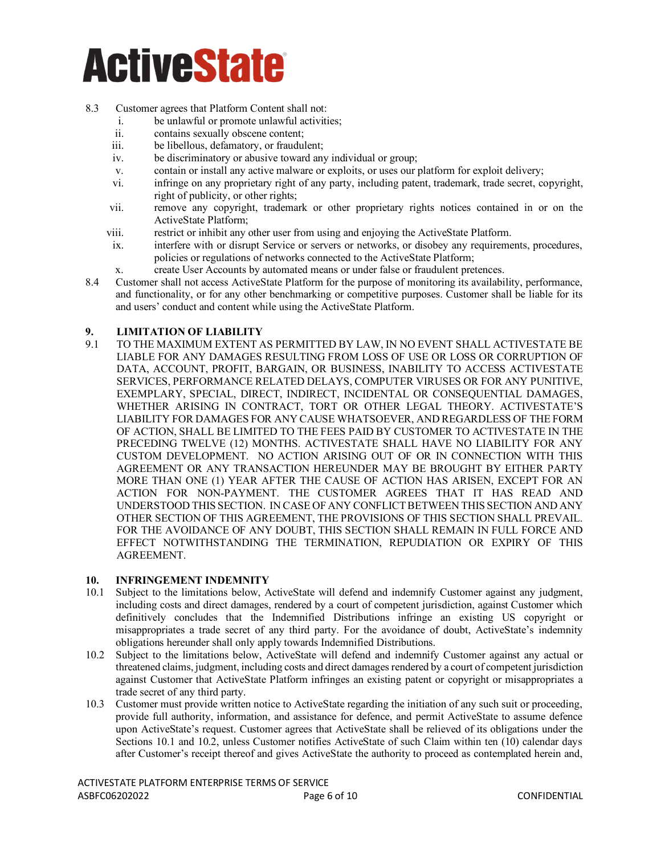#### 8.3 Customer agrees that Platform Content shall not:

- i. be unlawful or promote unlawful activities;
- ii. contains sexually obscene content;
- iii. be libellous, defamatory, or fraudulent;
- iv. be discriminatory or abusive toward any individual or group;
- v. contain or install any active malware or exploits, or uses our platform for exploit delivery;
- vi. infringe on any proprietary right of any party, including patent, trademark, trade secret, copyright, right of publicity, or other rights;
- vii. remove any copyright, trademark or other proprietary rights notices contained in or on the ActiveState Platform;
- viii. restrict or inhibit any other user from using and enjoying the ActiveState Platform.
- ix. interfere with or disrupt Service or servers or networks, or disobey any requirements, procedures, policies or regulations of networks connected to the ActiveState Platform;
- x. create User Accounts by automated means or under false or fraudulent pretences.
- 8.4 Customer shall not access ActiveState Platform for the purpose of monitoring its availability, performance, and functionality, or for any other benchmarking or competitive purposes. Customer shall be liable for its and users' conduct and content while using the ActiveState Platform.

#### **9. LIMITATION OF LIABILITY**

9.1 TO THE MAXIMUM EXTENT AS PERMITTED BY LAW, IN NO EVENT SHALL ACTIVESTATE BE LIABLE FOR ANY DAMAGES RESULTING FROM LOSS OF USE OR LOSS OR CORRUPTION OF DATA, ACCOUNT, PROFIT, BARGAIN, OR BUSINESS, INABILITY TO ACCESS ACTIVESTATE SERVICES, PERFORMANCE RELATED DELAYS, COMPUTER VIRUSES OR FOR ANY PUNITIVE, EXEMPLARY, SPECIAL, DIRECT, INDIRECT, INCIDENTAL OR CONSEQUENTIAL DAMAGES, WHETHER ARISING IN CONTRACT, TORT OR OTHER LEGAL THEORY. ACTIVESTATE'S LIABILITY FOR DAMAGES FOR ANY CAUSE WHATSOEVER, AND REGARDLESS OF THE FORM OF ACTION, SHALL BE LIMITED TO THE FEES PAID BY CUSTOMER TO ACTIVESTATE IN THE PRECEDING TWELVE (12) MONTHS. ACTIVESTATE SHALL HAVE NO LIABILITY FOR ANY CUSTOM DEVELOPMENT. NO ACTION ARISING OUT OF OR IN CONNECTION WITH THIS AGREEMENT OR ANY TRANSACTION HEREUNDER MAY BE BROUGHT BY EITHER PARTY MORE THAN ONE (1) YEAR AFTER THE CAUSE OF ACTION HAS ARISEN, EXCEPT FOR AN ACTION FOR NON-PAYMENT. THE CUSTOMER AGREES THAT IT HAS READ AND UNDERSTOOD THIS SECTION. IN CASE OF ANY CONFLICT BETWEEN THIS SECTION AND ANY OTHER SECTION OF THIS AGREEMENT, THE PROVISIONS OF THIS SECTION SHALL PREVAIL. FOR THE AVOIDANCE OF ANY DOUBT, THIS SECTION SHALL REMAIN IN FULL FORCE AND EFFECT NOTWITHSTANDING THE TERMINATION, REPUDIATION OR EXPIRY OF THIS AGREEMENT.

#### **10. INFRINGEMENT INDEMNITY**

- 10.1 Subject to the limitations below, ActiveState will defend and indemnify Customer against any judgment, including costs and direct damages, rendered by a court of competent jurisdiction, against Customer which definitively concludes that the Indemnified Distributions infringe an existing US copyright or misappropriates a trade secret of any third party. For the avoidance of doubt, ActiveState's indemnity obligations hereunder shall only apply towards Indemnified Distributions.
- 10.2 Subject to the limitations below, ActiveState will defend and indemnify Customer against any actual or threatened claims, judgment, including costs and direct damages rendered by a court of competent jurisdiction against Customer that ActiveState Platform infringes an existing patent or copyright or misappropriates a trade secret of any third party.
- 10.3 Customer must provide written notice to ActiveState regarding the initiation of any such suit or proceeding, provide full authority, information, and assistance for defence, and permit ActiveState to assume defence upon ActiveState's request. Customer agrees that ActiveState shall be relieved of its obligations under the Sections 10.1 and 10.2, unless Customer notifies ActiveState of such Claim within ten (10) calendar days after Customer's receipt thereof and gives ActiveState the authority to proceed as contemplated herein and,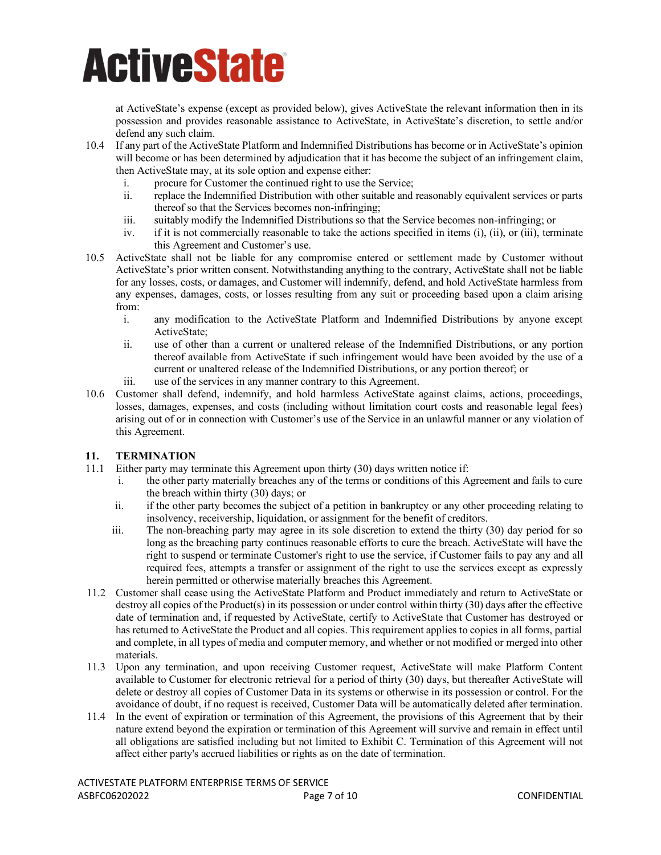at ActiveState's expense (except as provided below), gives ActiveState the relevant information then in its possession and provides reasonable assistance to ActiveState, in ActiveState's discretion, to settle and/or defend any such claim.

- 10.4 If any part of the ActiveState Platform and Indemnified Distributions has become or in ActiveState's opinion will become or has been determined by adjudication that it has become the subject of an infringement claim, then ActiveState may, at its sole option and expense either:
	- i. procure for Customer the continued right to use the Service;
	- ii. replace the Indemnified Distribution with other suitable and reasonably equivalent services or parts thereof so that the Services becomes non-infringing;
	- iii. suitably modify the Indemnified Distributions so that the Service becomes non-infringing; or
	- iv. if it is not commercially reasonable to take the actions specified in items (i), (ii), or (iii), terminate this Agreement and Customer's use.
- 10.5 ActiveState shall not be liable for any compromise entered or settlement made by Customer without ActiveState's prior written consent. Notwithstanding anything to the contrary, ActiveState shall not be liable for any losses, costs, or damages, and Customer will indemnify, defend, and hold ActiveState harmless from any expenses, damages, costs, or losses resulting from any suit or proceeding based upon a claim arising from:
	- i. any modification to the ActiveState Platform and Indemnified Distributions by anyone except ActiveState;
	- ii. use of other than a current or unaltered release of the Indemnified Distributions, or any portion thereof available from ActiveState if such infringement would have been avoided by the use of a current or unaltered release of the Indemnified Distributions, or any portion thereof; or
	- iii. use of the services in any manner contrary to this Agreement.
- 10.6 Customer shall defend, indemnify, and hold harmless ActiveState against claims, actions, proceedings, losses, damages, expenses, and costs (including without limitation court costs and reasonable legal fees) arising out of or in connection with Customer's use of the Service in an unlawful manner or any violation of this Agreement.

### **11. TERMINATION**

- Either party may terminate this Agreement upon thirty (30) days written notice if:
	- i. the other party materially breaches any of the terms or conditions of this Agreement and fails to cure the breach within thirty (30) days; or
	- ii. if the other party becomes the subject of a petition in bankruptcy or any other proceeding relating to insolvency, receivership, liquidation, or assignment for the benefit of creditors.
	- iii. The non-breaching party may agree in its sole discretion to extend the thirty (30) day period for so long as the breaching party continues reasonable efforts to cure the breach. ActiveState will have the right to suspend or terminate Customer's right to use the service, if Customer fails to pay any and all required fees, attempts a transfer or assignment of the right to use the services except as expressly herein permitted or otherwise materially breaches this Agreement.
- 11.2 Customer shall cease using the ActiveState Platform and Product immediately and return to ActiveState or destroy all copies of the Product(s) in its possession or under control within thirty (30) days after the effective date of termination and, if requested by ActiveState, certify to ActiveState that Customer has destroyed or has returned to ActiveState the Product and all copies. This requirement applies to copies in all forms, partial and complete, in all types of media and computer memory, and whether or not modified or merged into other materials.
- 11.3 Upon any termination, and upon receiving Customer request, ActiveState will make Platform Content available to Customer for electronic retrieval for a period of thirty (30) days, but thereafter ActiveState will delete or destroy all copies of Customer Data in its systems or otherwise in its possession or control. For the avoidance of doubt, if no request is received, Customer Data will be automatically deleted after termination.
- 11.4 In the event of expiration or termination of this Agreement, the provisions of this Agreement that by their nature extend beyond the expiration or termination of this Agreement will survive and remain in effect until all obligations are satisfied including but not limited to Exhibit C. Termination of this Agreement will not affect either party's accrued liabilities or rights as on the date of termination.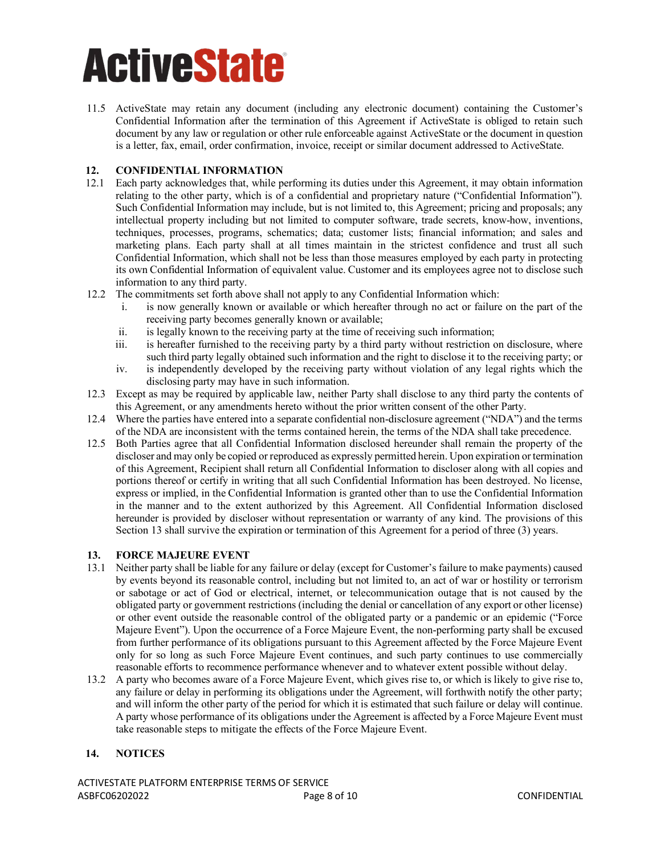11.5 ActiveState may retain any document (including any electronic document) containing the Customer's Confidential Information after the termination of this Agreement if ActiveState is obliged to retain such document by any law or regulation or other rule enforceable against ActiveState or the document in question is a letter, fax, email, order confirmation, invoice, receipt or similar document addressed to ActiveState.

#### **12. CONFIDENTIAL INFORMATION**

- 12.1 Each party acknowledges that, while performing its duties under this Agreement, it may obtain information relating to the other party, which is of a confidential and proprietary nature ("Confidential Information"). Such Confidential Information may include, but is not limited to, this Agreement; pricing and proposals; any intellectual property including but not limited to computer software, trade secrets, know-how, inventions, techniques, processes, programs, schematics; data; customer lists; financial information; and sales and marketing plans. Each party shall at all times maintain in the strictest confidence and trust all such Confidential Information, which shall not be less than those measures employed by each party in protecting its own Confidential Information of equivalent value. Customer and its employees agree not to disclose such information to any third party.
- 12.2 The commitments set forth above shall not apply to any Confidential Information which:
	- i. is now generally known or available or which hereafter through no act or failure on the part of the receiving party becomes generally known or available;
	- ii. is legally known to the receiving party at the time of receiving such information;
	- iii. is hereafter furnished to the receiving party by a third party without restriction on disclosure, where such third party legally obtained such information and the right to disclose it to the receiving party; or
	- iv. is independently developed by the receiving party without violation of any legal rights which the disclosing party may have in such information.
- 12.3 Except as may be required by applicable law, neither Party shall disclose to any third party the contents of this Agreement, or any amendments hereto without the prior written consent of the other Party.
- 12.4 Where the parties have entered into a separate confidential non-disclosure agreement ("NDA") and the terms of the NDA are inconsistent with the terms contained herein, the terms of the NDA shall take precedence.
- 12.5 Both Parties agree that all Confidential Information disclosed hereunder shall remain the property of the discloser and may only be copied or reproduced as expressly permitted herein. Upon expiration or termination of this Agreement, Recipient shall return all Confidential Information to discloser along with all copies and portions thereof or certify in writing that all such Confidential Information has been destroyed. No license, express or implied, in the Confidential Information is granted other than to use the Confidential Information in the manner and to the extent authorized by this Agreement. All Confidential Information disclosed hereunder is provided by discloser without representation or warranty of any kind. The provisions of this Section 13 shall survive the expiration or termination of this Agreement for a period of three (3) years.

#### **13. FORCE MAJEURE EVENT**

- 13.1 Neither party shall be liable for any failure or delay (except for Customer's failure to make payments) caused by events beyond its reasonable control, including but not limited to, an act of war or hostility or terrorism or sabotage or act of God or electrical, internet, or telecommunication outage that is not caused by the obligated party or government restrictions (including the denial or cancellation of any export or other license) or other event outside the reasonable control of the obligated party or a pandemic or an epidemic ("Force Majeure Event"). Upon the occurrence of a Force Majeure Event, the non-performing party shall be excused from further performance of its obligations pursuant to this Agreement affected by the Force Majeure Event only for so long as such Force Majeure Event continues, and such party continues to use commercially reasonable efforts to recommence performance whenever and to whatever extent possible without delay.
- 13.2 A party who becomes aware of a Force Majeure Event, which gives rise to, or which is likely to give rise to, any failure or delay in performing its obligations under the Agreement, will forthwith notify the other party; and will inform the other party of the period for which it is estimated that such failure or delay will continue. A party whose performance of its obligations under the Agreement is affected by a Force Majeure Event must take reasonable steps to mitigate the effects of the Force Majeure Event.

#### **14. NOTICES**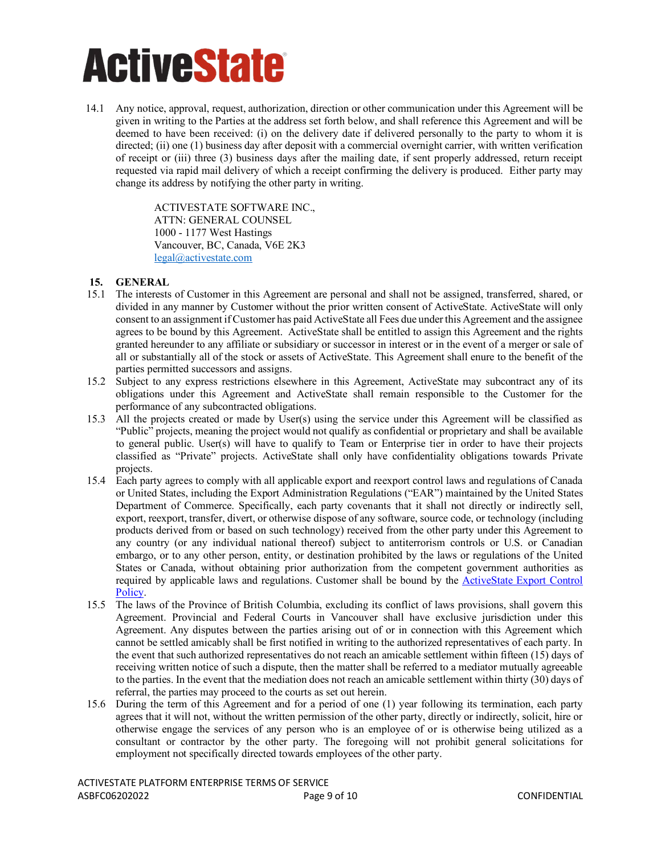14.1 Any notice, approval, request, authorization, direction or other communication under this Agreement will be given in writing to the Parties at the address set forth below, and shall reference this Agreement and will be deemed to have been received: (i) on the delivery date if delivered personally to the party to whom it is directed; (ii) one (1) business day after deposit with a commercial overnight carrier, with written verification of receipt or (iii) three (3) business days after the mailing date, if sent properly addressed, return receipt requested via rapid mail delivery of which a receipt confirming the delivery is produced. Either party may change its address by notifying the other party in writing.

> ACTIVESTATE SOFTWARE INC., ATTN: GENERAL COUNSEL 1000 - 1177 West Hastings Vancouver, BC, Canada, V6E 2K3 [legal@activestate.com](mailto:legal@activestate.com)

#### **15. GENERAL**

- 15.1 The interests of Customer in this Agreement are personal and shall not be assigned, transferred, shared, or divided in any manner by Customer without the prior written consent of ActiveState. ActiveState will only consent to an assignment if Customer has paid ActiveState all Fees due under this Agreement and the assignee agrees to be bound by this Agreement. ActiveState shall be entitled to assign this Agreement and the rights granted hereunder to any affiliate or subsidiary or successor in interest or in the event of a merger or sale of all or substantially all of the stock or assets of ActiveState. This Agreement shall enure to the benefit of the parties permitted successors and assigns.
- 15.2 Subject to any express restrictions elsewhere in this Agreement, ActiveState may subcontract any of its obligations under this Agreement and ActiveState shall remain responsible to the Customer for the performance of any subcontracted obligations.
- 15.3 All the projects created or made by User(s) using the service under this Agreement will be classified as "Public" projects, meaning the project would not qualify as confidential or proprietary and shall be available to general public. User(s) will have to qualify to Team or Enterprise tier in order to have their projects classified as "Private" projects. ActiveState shall only have confidentiality obligations towards Private projects.
- 15.4 Each party agrees to comply with all applicable export and reexport control laws and regulations of Canada or United States, including the Export Administration Regulations ("EAR") maintained by the United States Department of Commerce. Specifically, each party covenants that it shall not directly or indirectly sell, export, reexport, transfer, divert, or otherwise dispose of any software, source code, or technology (including products derived from or based on such technology) received from the other party under this Agreement to any country (or any individual national thereof) subject to antiterrorism controls or U.S. or Canadian embargo, or to any other person, entity, or destination prohibited by the laws or regulations of the United States or Canada, without obtaining prior authorization from the competent government authorities as required by applicable laws and regulations. Customer shall be bound by the [ActiveState Export Control](https://www.activestate.com/wp-content/uploads/2021/09/ActiveState-Export-Compliance-Policy-09142021.pdf)  [Policy.](https://www.activestate.com/wp-content/uploads/2021/09/ActiveState-Export-Compliance-Policy-09142021.pdf)
- 15.5 The laws of the Province of British Columbia, excluding its conflict of laws provisions, shall govern this Agreement. Provincial and Federal Courts in Vancouver shall have exclusive jurisdiction under this Agreement. Any disputes between the parties arising out of or in connection with this Agreement which cannot be settled amicably shall be first notified in writing to the authorized representatives of each party. In the event that such authorized representatives do not reach an amicable settlement within fifteen (15) days of receiving written notice of such a dispute, then the matter shall be referred to a mediator mutually agreeable to the parties. In the event that the mediation does not reach an amicable settlement within thirty (30) days of referral, the parties may proceed to the courts as set out herein.
- 15.6 During the term of this Agreement and for a period of one (1) year following its termination, each party agrees that it will not, without the written permission of the other party, directly or indirectly, solicit, hire or otherwise engage the services of any person who is an employee of or is otherwise being utilized as a consultant or contractor by the other party. The foregoing will not prohibit general solicitations for employment not specifically directed towards employees of the other party.